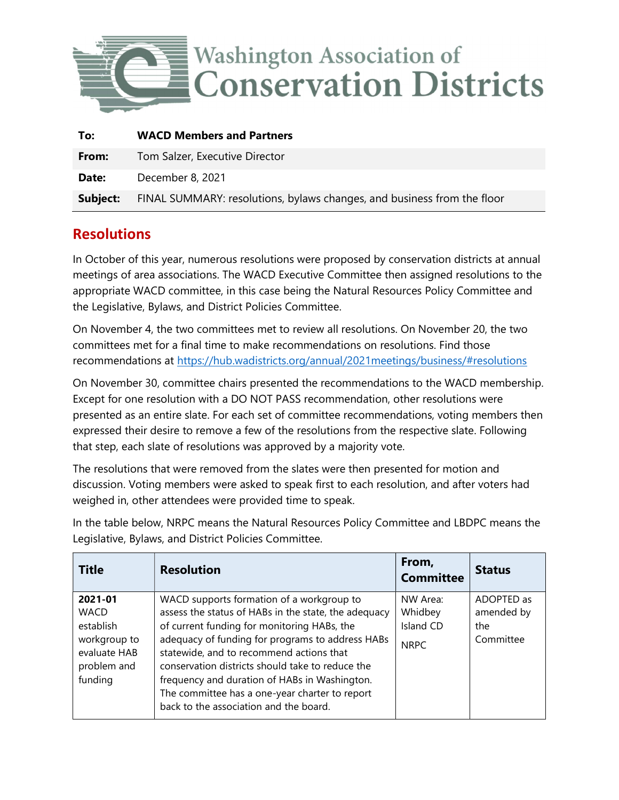

| To:      | <b>WACD Members and Partners</b>                                        |
|----------|-------------------------------------------------------------------------|
| From:    | Tom Salzer, Executive Director                                          |
| Date:    | December 8, 2021                                                        |
| Subject: | FINAL SUMMARY: resolutions, bylaws changes, and business from the floor |

## **Resolutions**

In October of this year, numerous resolutions were proposed by conservation districts at annual meetings of area associations. The WACD Executive Committee then assigned resolutions to the appropriate WACD committee, in this case being the Natural Resources Policy Committee and the Legislative, Bylaws, and District Policies Committee.

On November 4, the two committees met to review all resolutions. On November 20, the two committees met for a final time to make recommendations on resolutions. Find those recommendations at https://hub.wadistricts.org/annual/2021meetings/business/#resolutions

On November 30, committee chairs presented the recommendations to the WACD membership. Except for one resolution with a DO NOT PASS recommendation, other resolutions were presented as an entire slate. For each set of committee recommendations, voting members then expressed their desire to remove a few of the resolutions from the respective slate. Following that step, each slate of resolutions was approved by a majority vote.

The resolutions that were removed from the slates were then presented for motion and discussion. Voting members were asked to speak first to each resolution, and after voters had weighed in, other attendees were provided time to speak.

Title Resolution From,  $\begin{bmatrix} 1 & 1 \\ 1 & 1 \end{bmatrix}$ From,<br>Committee Status 2021-01 **WACD** establish workgroup to evaluate HAB problem and funding WACD supports formation of a workgroup to assess the status of HABs in the state, the adequacy of current funding for monitoring HABs, the adequacy of funding for programs to address HABs statewide, and to recommend actions that conservation districts should take to reduce the frequency and duration of HABs in Washington. The committee has a one-year charter to report back to the association and the board. NW Area: Whidbey Island CD NRPC ADOPTED as amended by the Committee

In the table below, NRPC means the Natural Resources Policy Committee and LBDPC means the Legislative, Bylaws, and District Policies Committee.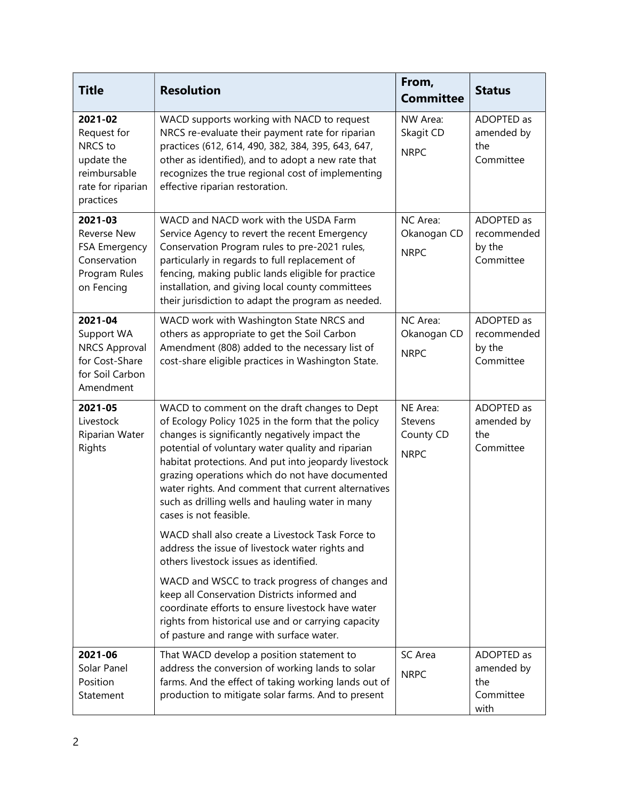| <b>Title</b>                                                                                      | <b>Resolution</b>                                                                                                                                                                                                                                                                                                                                                                                                                                         | From,<br><b>Committee</b>                       | <b>Status</b>                                        |
|---------------------------------------------------------------------------------------------------|-----------------------------------------------------------------------------------------------------------------------------------------------------------------------------------------------------------------------------------------------------------------------------------------------------------------------------------------------------------------------------------------------------------------------------------------------------------|-------------------------------------------------|------------------------------------------------------|
| 2021-02<br>Request for<br>NRCS to<br>update the<br>reimbursable<br>rate for riparian<br>practices | WACD supports working with NACD to request<br>NRCS re-evaluate their payment rate for riparian<br>practices (612, 614, 490, 382, 384, 395, 643, 647,<br>other as identified), and to adopt a new rate that<br>recognizes the true regional cost of implementing<br>effective riparian restoration.                                                                                                                                                        | NW Area:<br>Skagit CD<br><b>NRPC</b>            | ADOPTED as<br>amended by<br>the<br>Committee         |
| 2021-03<br><b>Reverse New</b><br>FSA Emergency<br>Conservation<br>Program Rules<br>on Fencing     | WACD and NACD work with the USDA Farm<br>Service Agency to revert the recent Emergency<br>Conservation Program rules to pre-2021 rules,<br>particularly in regards to full replacement of<br>fencing, making public lands eligible for practice<br>installation, and giving local county committees<br>their jurisdiction to adapt the program as needed.                                                                                                 | NC Area:<br>Okanogan CD<br><b>NRPC</b>          | ADOPTED as<br>recommended<br>by the<br>Committee     |
| 2021-04<br>Support WA<br><b>NRCS Approval</b><br>for Cost-Share<br>for Soil Carbon<br>Amendment   | WACD work with Washington State NRCS and<br>others as appropriate to get the Soil Carbon<br>Amendment (808) added to the necessary list of<br>cost-share eligible practices in Washington State.                                                                                                                                                                                                                                                          | NC Area:<br>Okanogan CD<br><b>NRPC</b>          | ADOPTED as<br>recommended<br>by the<br>Committee     |
| 2021-05<br>Livestock<br>Riparian Water<br>Rights                                                  | WACD to comment on the draft changes to Dept<br>of Ecology Policy 1025 in the form that the policy<br>changes is significantly negatively impact the<br>potential of voluntary water quality and riparian<br>habitat protections. And put into jeopardy livestock<br>grazing operations which do not have documented<br>water rights. And comment that current alternatives<br>such as drilling wells and hauling water in many<br>cases is not feasible. | NE Area:<br>Stevens<br>County CD<br><b>NRPC</b> | ADOPTED as<br>amended by<br>the<br>Committee         |
|                                                                                                   | WACD shall also create a Livestock Task Force to<br>address the issue of livestock water rights and<br>others livestock issues as identified.                                                                                                                                                                                                                                                                                                             |                                                 |                                                      |
|                                                                                                   | WACD and WSCC to track progress of changes and<br>keep all Conservation Districts informed and<br>coordinate efforts to ensure livestock have water<br>rights from historical use and or carrying capacity<br>of pasture and range with surface water.                                                                                                                                                                                                    |                                                 |                                                      |
| 2021-06<br>Solar Panel<br>Position<br>Statement                                                   | That WACD develop a position statement to<br>address the conversion of working lands to solar<br>farms. And the effect of taking working lands out of<br>production to mitigate solar farms. And to present                                                                                                                                                                                                                                               | <b>SC</b> Area<br><b>NRPC</b>                   | ADOPTED as<br>amended by<br>the<br>Committee<br>with |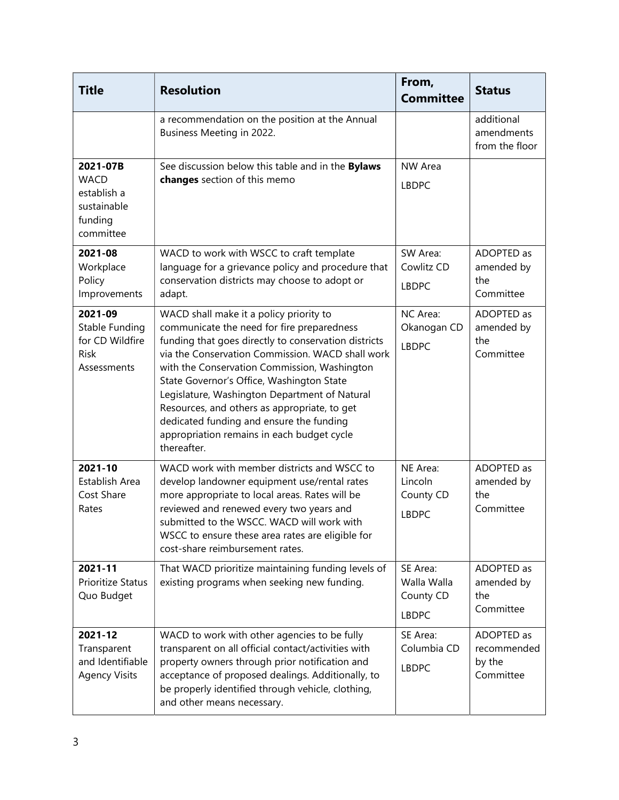| <b>Title</b>                                                                  | <b>Resolution</b>                                                                                                                                                                                                                                                                                                                                                                                                                                                                                        | From,<br><b>Committee</b>                            | <b>Status</b>                                    |
|-------------------------------------------------------------------------------|----------------------------------------------------------------------------------------------------------------------------------------------------------------------------------------------------------------------------------------------------------------------------------------------------------------------------------------------------------------------------------------------------------------------------------------------------------------------------------------------------------|------------------------------------------------------|--------------------------------------------------|
|                                                                               | a recommendation on the position at the Annual<br>Business Meeting in 2022.                                                                                                                                                                                                                                                                                                                                                                                                                              |                                                      | additional<br>amendments<br>from the floor       |
| 2021-07B<br><b>WACD</b><br>establish a<br>sustainable<br>funding<br>committee | See discussion below this table and in the Bylaws<br>changes section of this memo                                                                                                                                                                                                                                                                                                                                                                                                                        | NW Area<br><b>LBDPC</b>                              |                                                  |
| 2021-08<br>Workplace<br>Policy<br>Improvements                                | WACD to work with WSCC to craft template<br>language for a grievance policy and procedure that<br>conservation districts may choose to adopt or<br>adapt.                                                                                                                                                                                                                                                                                                                                                | SW Area:<br>Cowlitz CD<br><b>LBDPC</b>               | ADOPTED as<br>amended by<br>the<br>Committee     |
| 2021-09<br>Stable Funding<br>for CD Wildfire<br><b>Risk</b><br>Assessments    | WACD shall make it a policy priority to<br>communicate the need for fire preparedness<br>funding that goes directly to conservation districts<br>via the Conservation Commission. WACD shall work<br>with the Conservation Commission, Washington<br>State Governor's Office, Washington State<br>Legislature, Washington Department of Natural<br>Resources, and others as appropriate, to get<br>dedicated funding and ensure the funding<br>appropriation remains in each budget cycle<br>thereafter. | NC Area:<br>Okanogan CD<br><b>LBDPC</b>              | ADOPTED as<br>amended by<br>the<br>Committee     |
| 2021-10<br>Establish Area<br>Cost Share<br>Rates                              | WACD work with member districts and WSCC to<br>develop landowner equipment use/rental rates<br>more appropriate to local areas. Rates will be<br>reviewed and renewed every two years and<br>submitted to the WSCC. WACD will work with<br>WSCC to ensure these area rates are eligible for<br>cost-share reimbursement rates.                                                                                                                                                                           | NE Area:<br>Lincoln<br>County CD<br><b>LBDPC</b>     | ADOPTED as<br>amended by<br>the<br>Committee     |
| 2021-11<br>Prioritize Status<br>Quo Budget                                    | That WACD prioritize maintaining funding levels of<br>existing programs when seeking new funding.                                                                                                                                                                                                                                                                                                                                                                                                        | SE Area:<br>Walla Walla<br>County CD<br><b>LBDPC</b> | ADOPTED as<br>amended by<br>the<br>Committee     |
| 2021-12<br>Transparent<br>and Identifiable<br><b>Agency Visits</b>            | WACD to work with other agencies to be fully<br>transparent on all official contact/activities with<br>property owners through prior notification and<br>acceptance of proposed dealings. Additionally, to<br>be properly identified through vehicle, clothing,<br>and other means necessary.                                                                                                                                                                                                            | SE Area:<br>Columbia CD<br><b>LBDPC</b>              | ADOPTED as<br>recommended<br>by the<br>Committee |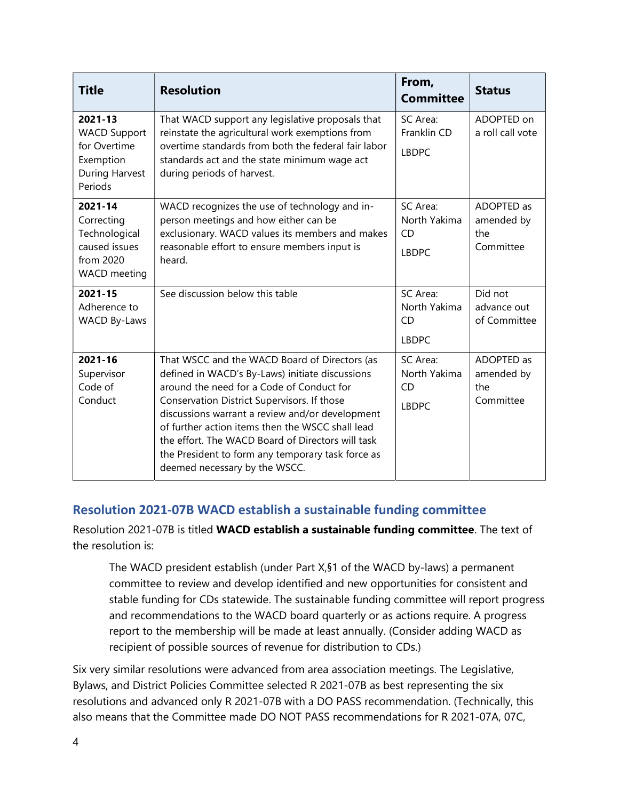| <b>Title</b>                                                                                | <b>Resolution</b>                                                                                                                                                                                                                                                                                                                                                                                                                              | From,<br><b>Committee</b>                             | <b>Status</b>                                |
|---------------------------------------------------------------------------------------------|------------------------------------------------------------------------------------------------------------------------------------------------------------------------------------------------------------------------------------------------------------------------------------------------------------------------------------------------------------------------------------------------------------------------------------------------|-------------------------------------------------------|----------------------------------------------|
| 2021-13<br><b>WACD Support</b><br>for Overtime<br>Exemption<br>During Harvest<br>Periods    | That WACD support any legislative proposals that<br>reinstate the agricultural work exemptions from<br>overtime standards from both the federal fair labor<br>standards act and the state minimum wage act<br>during periods of harvest.                                                                                                                                                                                                       | SC Area:<br>Franklin CD<br><b>LBDPC</b>               | ADOPTED on<br>a roll call vote               |
| 2021-14<br>Correcting<br>Technological<br>caused issues<br>from 2020<br><b>WACD</b> meeting | WACD recognizes the use of technology and in-<br>person meetings and how either can be<br>exclusionary. WACD values its members and makes<br>reasonable effort to ensure members input is<br>heard.                                                                                                                                                                                                                                            | SC Area:<br>North Yakima<br><b>CD</b><br><b>LBDPC</b> | ADOPTED as<br>amended by<br>the<br>Committee |
| 2021-15<br>Adherence to<br>WACD By-Laws                                                     | See discussion below this table                                                                                                                                                                                                                                                                                                                                                                                                                | SC Area:<br>North Yakima<br><b>CD</b><br><b>LBDPC</b> | Did not<br>advance out<br>of Committee       |
| 2021-16<br>Supervisor<br>Code of<br>Conduct                                                 | That WSCC and the WACD Board of Directors (as<br>defined in WACD's By-Laws) initiate discussions<br>around the need for a Code of Conduct for<br>Conservation District Supervisors. If those<br>discussions warrant a review and/or development<br>of further action items then the WSCC shall lead<br>the effort. The WACD Board of Directors will task<br>the President to form any temporary task force as<br>deemed necessary by the WSCC. | SC Area:<br>North Yakima<br><b>CD</b><br><b>LBDPC</b> | ADOPTED as<br>amended by<br>the<br>Committee |

#### Resolution 2021-07B WACD establish a sustainable funding committee

Resolution 2021-07B is titled WACD establish a sustainable funding committee. The text of the resolution is:

The WACD president establish (under Part X,§1 of the WACD by-laws) a permanent committee to review and develop identified and new opportunities for consistent and stable funding for CDs statewide. The sustainable funding committee will report progress and recommendations to the WACD board quarterly or as actions require. A progress report to the membership will be made at least annually. (Consider adding WACD as recipient of possible sources of revenue for distribution to CDs.)

Six very similar resolutions were advanced from area association meetings. The Legislative, Bylaws, and District Policies Committee selected R 2021-07B as best representing the six resolutions and advanced only R 2021-07B with a DO PASS recommendation. (Technically, this also means that the Committee made DO NOT PASS recommendations for R 2021-07A, 07C,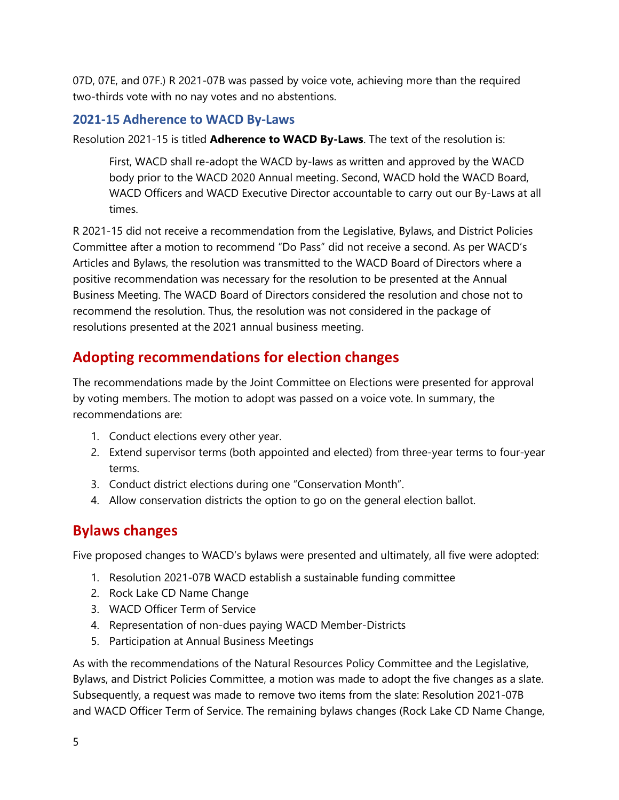07D, 07E, and 07F.) R 2021-07B was passed by voice vote, achieving more than the required two-thirds vote with no nay votes and no abstentions.

#### 2021-15 Adherence to WACD By-Laws

Resolution 2021-15 is titled **Adherence to WACD By-Laws**. The text of the resolution is:

First, WACD shall re-adopt the WACD by-laws as written and approved by the WACD body prior to the WACD 2020 Annual meeting. Second, WACD hold the WACD Board, WACD Officers and WACD Executive Director accountable to carry out our By-Laws at all times.

R 2021-15 did not receive a recommendation from the Legislative, Bylaws, and District Policies Committee after a motion to recommend "Do Pass" did not receive a second. As per WACD's Articles and Bylaws, the resolution was transmitted to the WACD Board of Directors where a positive recommendation was necessary for the resolution to be presented at the Annual Business Meeting. The WACD Board of Directors considered the resolution and chose not to recommend the resolution. Thus, the resolution was not considered in the package of resolutions presented at the 2021 annual business meeting.

# Adopting recommendations for election changes

The recommendations made by the Joint Committee on Elections were presented for approval by voting members. The motion to adopt was passed on a voice vote. In summary, the recommendations are:

- 1. Conduct elections every other year.
- 2. Extend supervisor terms (both appointed and elected) from three-year terms to four-year terms.
- 3. Conduct district elections during one "Conservation Month".
- 4. Allow conservation districts the option to go on the general election ballot.

## Bylaws changes

Five proposed changes to WACD's bylaws were presented and ultimately, all five were adopted:

- 1. Resolution 2021-07B WACD establish a sustainable funding committee
- 2. Rock Lake CD Name Change
- 3. WACD Officer Term of Service
- 4. Representation of non-dues paying WACD Member-Districts
- 5. Participation at Annual Business Meetings

As with the recommendations of the Natural Resources Policy Committee and the Legislative, Bylaws, and District Policies Committee, a motion was made to adopt the five changes as a slate. Subsequently, a request was made to remove two items from the slate: Resolution 2021-07B and WACD Officer Term of Service. The remaining bylaws changes (Rock Lake CD Name Change,